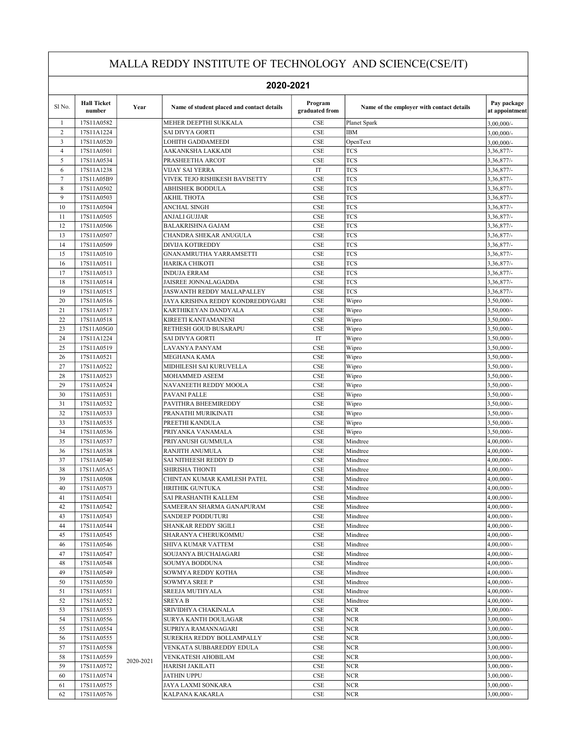|                         | 2020-2021                    |           |                                                   |                             |                                           |                               |  |  |
|-------------------------|------------------------------|-----------|---------------------------------------------------|-----------------------------|-------------------------------------------|-------------------------------|--|--|
| Sl No.                  | <b>Hall Ticket</b><br>number | Year      | Name of student placed and contact details        | Program<br>graduated from   | Name of the employer with contact details | Pay package<br>at appointment |  |  |
| $\mathbf{1}$            | 17S11A0582                   |           | MEHER DEEPTHI SUKKALA                             | $\rm CSE$                   | Planet Spark                              | 3,00,000/-                    |  |  |
| 2                       | 17S11A1224                   |           | SAI DIVYA GORTI                                   | <b>CSE</b>                  | <b>IBM</b>                                | 3,00,000/-                    |  |  |
| $\overline{\mathbf{3}}$ | 17S11A0520                   |           | <b>LOHITH GADDAMEEDI</b>                          | <b>CSE</b>                  | OpenText                                  | 3,00,000/-                    |  |  |
| $\overline{4}$          | 17S11A0501                   |           | AAKANKSHA LAKKADI                                 | <b>CSE</b>                  | <b>TCS</b>                                | 3,36,877/-                    |  |  |
| 5                       | 17S11A0534                   |           | PRASHEETHA ARCOT                                  | CSE                         | <b>TCS</b>                                | 3,36,877/-                    |  |  |
| 6                       | 17S11A1238                   |           | <b>VIJAY SAI YERRA</b>                            | IT                          | <b>TCS</b>                                | 3,36,877/-                    |  |  |
| $\boldsymbol{7}$        | 17S11A05B9                   |           | <b>VIVEK TEJO RISHIKESH BAVISETTY</b>             | CSE                         | <b>TCS</b>                                | 3,36,877/-                    |  |  |
| 8                       | 17S11A0502                   |           | ABHISHEK BODDULA                                  | CSE                         | <b>TCS</b>                                | 3,36,877/-                    |  |  |
| 9                       | 17S11A0503                   |           | <b>AKHIL THOTA</b>                                | CSE                         | <b>TCS</b>                                | 3,36,877/-                    |  |  |
| 10<br>11                | 17S11A0504                   |           | ANCHAL SINGH                                      | CSE<br><b>CSE</b>           | <b>TCS</b><br><b>TCS</b>                  | 3,36,877/-                    |  |  |
| 12                      | 17S11A0505<br>17S11A0506     |           | ANJALI GUJJAR<br><b>BALAKRISHNA GAJAM</b>         | <b>CSE</b>                  | <b>TCS</b>                                | 3,36,877/-<br>3,36,877/-      |  |  |
| 13                      | 17S11A0507                   |           | CHANDRA SHEKAR ANUGULA                            | CSE                         | <b>TCS</b>                                | 3,36,877/-                    |  |  |
| 14                      | 17S11A0509                   |           | <b>DIVIJA KOTIREDDY</b>                           | CSE                         | <b>TCS</b>                                | 3,36,877/-                    |  |  |
| 15                      | 17S11A0510                   |           | <b>GNANAMRUTHA YARRAMSETTI</b>                    | CSE                         | <b>TCS</b>                                | 3,36,877/-                    |  |  |
| 16                      | 17S11A0511                   |           | HARIKA CHIKOTI                                    | <b>CSE</b>                  | <b>TCS</b>                                | 3,36,877/-                    |  |  |
| 17                      | 17S11A0513                   |           | <b>INDUJA ERRAM</b>                               | CSE                         | <b>TCS</b>                                | 3,36,877/-                    |  |  |
| 18                      | 17S11A0514                   |           | JAISREE JONNALAGADDA                              | <b>CSE</b>                  | <b>TCS</b>                                | 3,36,877/-                    |  |  |
| 19                      | 17S11A0515                   |           | JASWANTH REDDY MALLAPALLEY                        | CSE                         | <b>TCS</b>                                | 3,36,877/-                    |  |  |
| 20                      | 17S11A0516                   |           | JAYA KRISHNA REDDY KONDREDDYGARI                  | <b>CSE</b>                  | Wipro                                     | 3,50,000/-                    |  |  |
| 21                      | 17S11A0517                   |           | KARTHIKEYAN DANDYALA                              | CSE                         | Wipro                                     | 3,50,000/-                    |  |  |
| 22                      | 17S11A0518                   |           | KIREETI KANTAMANENI                               | CSE                         | Wipro                                     | 3,50,000/-                    |  |  |
| 23                      | 17S11A05G0                   |           | RETHESH GOUD BUSARAPU                             | CSE                         | Wipro                                     | 3,50,000/-                    |  |  |
| 24                      | 17S11A1224                   |           | SAI DIVYA GORTI                                   | IT                          | Wipro                                     | 3,50,000/-                    |  |  |
| 25                      | 17S11A0519                   |           | LAVANYA PANYAM                                    | <b>CSE</b>                  | Wipro                                     | 3,50,000/-                    |  |  |
| 26                      | 17S11A0521                   |           | MEGHANA KAMA                                      | CSE                         | Wipro                                     | 3,50,000/-                    |  |  |
| 27                      | 17S11A0522                   |           | MIDHILESH SAI KURUVELLA                           | <b>CSE</b>                  | Wipro                                     | 3,50,000/-                    |  |  |
| 28                      | 17S11A0523                   |           | MOHAMMED ASEEM                                    | <b>CSE</b>                  | Wipro                                     | 3,50,000/-                    |  |  |
| 29                      | 17S11A0524                   |           | NAVANEETH REDDY MOOLA                             | CSE                         | Wipro                                     | 3,50,000/-                    |  |  |
| 30                      | 17S11A0531                   |           | PAVANI PALLE                                      | <b>CSE</b>                  | Wipro                                     | 3,50,000/-                    |  |  |
| 31                      | 17S11A0532                   |           | PAVITHRA BHEEMIREDDY                              | CSE                         | Wipro                                     | 3,50,000/-                    |  |  |
| 32                      | 17S11A0533                   |           | PRANATHI MURIKINATI                               | CSE                         | Wipro                                     | 3,50,000/-                    |  |  |
| 33                      | 17S11A0535                   |           | PREETHI KANDULA                                   | CSE                         | Wipro                                     | 3,50,000/-                    |  |  |
| 34                      | 17S11A0536                   |           | PRIYANKA VANAMALA                                 | <b>CSE</b>                  | Wipro                                     | $3,50,000/$ -                 |  |  |
| 35                      | 17S11A0537                   |           | PRIYANUSH GUMMULA                                 | CSE                         | Mindtree                                  | 4,00,000/-                    |  |  |
| 36                      | 17S11A0538                   |           | RANJITH ANUMULA                                   | CSE                         | Mindtree                                  | 4,00,000/-                    |  |  |
| 37                      | 17S11A0540                   |           | SAI NITHEESH REDDY D                              | CSE                         | Mindtree                                  | 4,00,000/-                    |  |  |
| 38                      | 17S11A05A5                   |           | <b>SHIRISHA THONTI</b>                            | CSE                         | Mindtree                                  | 4,00,000/-                    |  |  |
| 39                      | 17S11A0508                   |           | CHINTAN KUMAR KAMLESH PATEL                       | CSE                         | Mindtree                                  | 4,00,000/-                    |  |  |
| 40                      | 17S11A0573                   |           | <b>HRITHIK GUNTUKA</b>                            | CSE                         | Mindtree                                  | 4,00,000/-                    |  |  |
| 41<br>42                | 17S11A0541                   |           | SAI PRASHANTH KALLEM<br>SAMEERAN SHARMA GANAPURAM | CSE<br>$\rm CSE$            | Mindtree<br>Mindtree                      | 4,00,000/-<br>4,00,000/-      |  |  |
| 43                      | 17S11A0542<br>17S11A0543     |           | SANDEEP PODDUTURI                                 | CSE                         | Mindtree                                  | 4,00,000/-                    |  |  |
| 44                      | 17S11A0544                   |           | SHANKAR REDDY SIGILI                              | $\rm CSE$                   | Mindtree                                  | 4,00,000/-                    |  |  |
| 45                      | 17S11A0545                   |           | SHARANYA CHERUKOMMU                               | CSE                         | Mindtree                                  | 4,00,000/-                    |  |  |
| 46                      | 17S11A0546                   |           | SHIVA KUMAR VATTEM                                | $\ensuremath{\mathsf{CSE}}$ | Mindtree                                  | 4,00,000/-                    |  |  |
| 47                      | 17S11A0547                   |           | SOUJANYA BUCHAIAGARI                              | $\ensuremath{\mathsf{CSE}}$ | Mindtree                                  | 4,00,000/-                    |  |  |
| 48                      | 17S11A0548                   |           | SOUMYA BODDUNA                                    | CSE                         | Mindtree                                  | 4,00,000/-                    |  |  |
| 49                      | 17S11A0549                   |           | SOWMYA REDDY KOTHA                                | $\rm CSE$                   | Mindtree                                  | 4,00,000/-                    |  |  |
| 50                      | 17S11A0550                   |           | <b>SOWMYA SREE P</b>                              | $\ensuremath{\mathsf{CSE}}$ | Mindtree                                  | 4,00,000/-                    |  |  |
| 51                      | 17S11A0551                   |           | SREEJA MUTHYALA                                   | $\rm CSE$                   | Mindtree                                  | 4,00,000/-                    |  |  |
| 52                      | 17S11A0552                   |           | <b>SREYAB</b>                                     | CSE                         | Mindtree                                  | 4,00,000/-                    |  |  |
| 53                      | 17S11A0553                   |           | SRIVIDHYA CHAKINALA                               | $\ensuremath{\mathsf{CSE}}$ | <b>NCR</b>                                | 3,00,000/-                    |  |  |
| 54                      | 17S11A0556                   |           | SURYA KANTH DOULAGAR                              | $\ensuremath{\mathsf{CSE}}$ | <b>NCR</b>                                | 3,00,000/-                    |  |  |
| 55                      | 17S11A0554                   |           | SUPRIYA RAMANNAGARI                               | CSE                         | <b>NCR</b>                                | 3,00,000/-                    |  |  |
| 56                      | 17S11A0555                   |           | SUREKHA REDDY BOLLAMPALLY                         | $\rm CSE$                   | <b>NCR</b>                                | 3,00,000/-                    |  |  |
| 57                      | 17S11A0558                   |           | VENKATA SUBBAREDDY EDULA                          | CSE                         | <b>NCR</b>                                | 3,00,000/-                    |  |  |
| 58                      | 17S11A0559                   |           | VENKATESH AHOBILAM                                | CSE                         | <b>NCR</b>                                | 3,00,000/-                    |  |  |
| 59                      | 17S11A0572                   | 2020-2021 | HARISH JAKILATI                                   | CSE                         | NCR                                       | 3,00,000/-                    |  |  |
| 60                      | 17S11A0574                   |           | <b>JATHIN UPPU</b>                                | $\ensuremath{\mathsf{CSE}}$ | <b>NCR</b>                                | 3,00,000/-                    |  |  |
| 61                      | 17S11A0575                   |           | JAYA LAXMI SONKARA                                | $\ensuremath{\mathsf{CSE}}$ | <b>NCR</b>                                | 3,00,000/-                    |  |  |
|                         | 17S11A0576                   |           | KALPANA KAKARLA                                   | CSE                         | <b>NCR</b>                                | 3,00,000/-                    |  |  |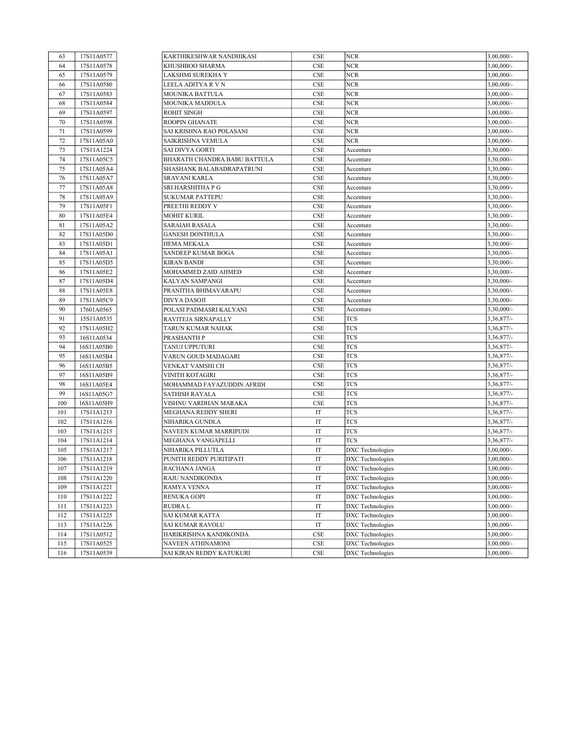| 63  | 17S11A0577 | KARTHIKESHWAR NANDHIKASI     | CSE                 | <b>NCR</b>              | $3,00,000/$ - |
|-----|------------|------------------------------|---------------------|-------------------------|---------------|
| 64  | 17S11A0578 | KHUSHBOO SHARMA              | CSE                 | <b>NCR</b>              | $3,00,000/$ - |
| 65  | 17S11A0579 | LAKSHMI SUREKHA Y            | CSE                 | <b>NCR</b>              | 3,00,000/-    |
| 66  | 17S11A0580 | LEELA ADITYA R V N           | CSE                 | <b>NCR</b>              | 3,00,000/-    |
| 67  | 17S11A0583 | MOUNIKA BATTULA              | <b>CSE</b>          | <b>NCR</b>              | 3,00,000/-    |
| 68  | 17S11A0584 | MOUNIKA MADDULA              | CSE                 | <b>NCR</b>              | 3,00,000/-    |
| 69  | 17S11A0597 | <b>ROHIT SINGH</b>           | CSE                 | <b>NCR</b>              | 3,00,000/-    |
| 70  | 17S11A0598 | <b>ROOPIN GHANATE</b>        | <b>CSE</b>          | <b>NCR</b>              | 3,00,000/-    |
| 71  | 17S11A0599 | SAI KRISHNA RAO POLASANI     | <b>CSE</b>          | <b>NCR</b>              | $3,00,000/$ - |
| 72  | 17S11A05A0 | SAIKRISHNA VEMULA            | CSE                 | <b>NCR</b>              | $3,00,000/$ - |
| 73  | 17S11A1224 | <b>SAI DIVYA GORTI</b>       | CSE                 | Accenture               | 3,30,000/-    |
| 74  | 17S11A05C5 | BHARATH CHANDRA BABU BATTULA | <b>CSE</b>          | Accenture               | 3,30,000/-    |
| 75  | 17S11A05A4 | SHASHANK BALABADRAPATRUNI    | CSE                 | Accenture               | 3,30,000/-    |
| 76  | 17S11A05A7 | <b>SRAVANI KARLA</b>         | CSE                 | Accenture               | 3,30,000/-    |
| 77  | 17S11A05A8 | SRI HARSHITHA P G            | CSE                 | Accenture               | 3,30,000/-    |
| 78  | 17S11A05A9 | <b>SUKUMAR PATTEPU</b>       | CSE                 | Accenture               | 3,30,000/-    |
| 79  | 17S11A05F1 | PREETHI REDDY V              | <b>CSE</b>          | Accenture               | $3,30,000/$ - |
| 80  | 17S11A05E4 | <b>MOHIT KURIL</b>           | CSE                 | Accenture               | $3,30,000/-$  |
| 81  | 17S11A05A2 | <b>SARAIAH RASALA</b>        | <b>CSE</b>          | Accenture               | 3,30,000/-    |
| 82  | 17S11A05D0 | <b>GANESH DONTHULA</b>       | CSE                 | Accenture               | 3,30,000/-    |
| 83  | 17S11A05D1 | <b>HEMA MEKALA</b>           | CSE                 | Accenture               | 3,30,000/-    |
| 84  | 17S11A05A1 | <b>SANDEEP KUMAR BOGA</b>    | <b>CSE</b>          | Accenture               | 3,30,000/-    |
| 85  | 17S11A05D5 | <b>KIRAN BANDI</b>           | <b>CSE</b>          | Accenture               | 3,30,000/-    |
| 86  | 17S11A05E2 | MOHAMMED ZAID AHMED          | CSE                 | Accenture               | 3,30,000/-    |
| 87  | 17S11A05D4 | KALYAN SAMPANGI              | <b>CSE</b>          | Accenture               | 3,30,000/-    |
| 88  | 17S11A05E8 | PRANITHA BHIMAVARAPU         | CSE                 | Accenture               | 3,30,000/-    |
| 89  | 17S11A05C9 | <b>DIVYA DASOJI</b>          | CSE                 | Accenture               | 3,30,000/-    |
| 90  | 17601A0565 | POLASI PADMASRI KALYANI      | CSE                 | Accenture               | 3,30,000/-    |
| 91  | 15S11A0535 | RAVITEJA SIRNAPALLY          | <b>CSE</b>          | <b>TCS</b>              | 3,36,877/     |
| 92  | 17S11A05H2 | TARUN KUMAR NAHAK            | <b>CSE</b>          | <b>TCS</b>              | 3,36,877/-    |
| 93  | 16S11A0534 | PRASHANTH P                  | <b>CSE</b>          | <b>TCS</b>              | 3,36,877/     |
| 94  | 16S11A05B0 | TANUJ UPPUTURI               | CSE                 | <b>TCS</b>              | $3,36,877/$ - |
| 95  | 16S11A05B4 | VARUN GOUD MADAGARI          | CSE                 | <b>TCS</b>              | $3,36,877/$ - |
| 96  | 16S11A05B5 | VENKAT VAMSHI CH             | <b>CSE</b>          | <b>TCS</b>              | 3,36,877/     |
| 97  | 16S11A05B9 | VINITH KOTAGIRI              | <b>CSE</b>          | <b>TCS</b>              | 3,36,877/-    |
| 98  | 16S11A05E4 | MOHAMMAD FAYAZUDDIN AFRIDI   | CSE                 | <b>TCS</b>              | 3,36,877/     |
| 99  | 16S11A05G7 | <b>SATHISH RAYALA</b>        | <b>CSE</b>          | <b>TCS</b>              | $3,36,877/$ - |
| 100 | 16S11A05H9 | VISHNU VARDHAN MARAKA        | <b>CSE</b>          | <b>TCS</b>              | 3,36,877/     |
| 101 | 17S11A1213 | MEGHANA REDDY SHERI          | IT                  | <b>TCS</b>              | 3,36,877/-    |
| 102 | 17S11A1216 | NIHARIKA GUNDLA              | IT                  | <b>TCS</b>              | 3,36,877/-    |
| 103 | 17S11A1215 | NAVEEN KUMAR MARRIPUDI       | IT                  | <b>TCS</b>              | $3,36,877/-$  |
| 104 | 17S11A1214 | MEGHANA VANGAPELLI           | IT                  | <b>TCS</b>              | $3,36,877/-$  |
| 105 | 17S11A1217 | NIHARIKA PILLUTLA            | IT                  | DXC Technologies        | $3,00,000/$ - |
| 106 | 17S11A1218 | PUNITH REDDY PURITIPATI      | IT                  | <b>DXC</b> Technologies | $3,00,000/$ - |
| 107 | 17S11A1219 | RACHANA JANGA                | IT                  | <b>DXC</b> Technologies | $3,00,000/$ - |
| 108 | 17S11A1220 | RAJU NANDIKONDA              | IT                  | DXC Technologies        | 3,00,000/-    |
| 109 | 17S11A1221 | <b>RAMYA VENNA</b>           | IT                  | DXC Technologies        | 3,00,000/-    |
| 110 | 17S11A1222 | <b>RENUKA GOPI</b>           | $_{\rm IT}$         | <b>DXC</b> Technologies | 3,00,000/-    |
| 111 | 17S11A1223 | <b>RUDRAL</b>                | $\operatorname{IT}$ | <b>DXC</b> Technologies | 3,00,000/-    |
| 112 | 17S11A1225 | <b>SAI KUMAR KATTA</b>       | $\operatorname{IT}$ | DXC Technologies        | 3,00,000/-    |
| 113 | 17S11A1226 | SAI KUMAR RAVOLU             | $\operatorname{IT}$ | DXC Technologies        | 3,00,000/-    |
| 114 | 17S11A0512 | HARIKRISHNA KANDIKONDA       | CSE                 | DXC Technologies        | 3,00,000/-    |
| 115 | 17S11A0525 | NAVEEN ATHINAMONI            | CSE                 | DXC Technologies        | 3,00,000/-    |
| 116 | 17S11A0539 | SAI KIRAN REDDY KATUKURI     | CSE                 | <b>DXC</b> Technologies | 3,00,000/-    |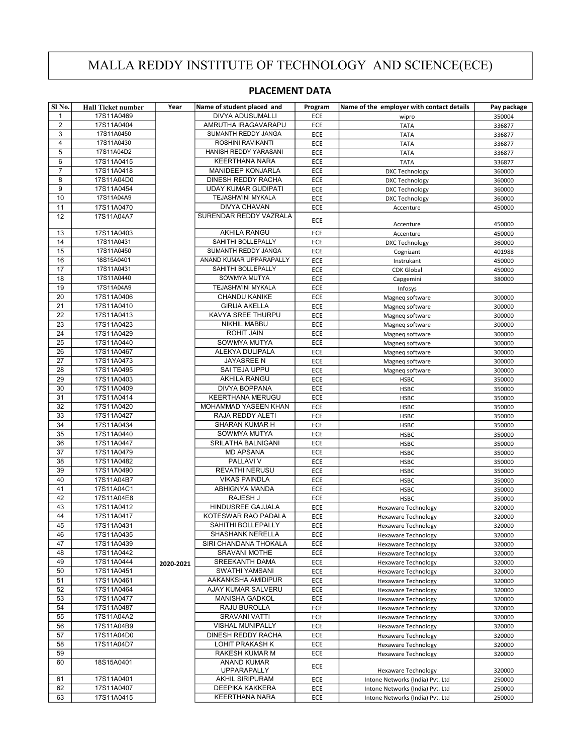## MALLA REDDY INSTITUTE OF TECHNOLOGY AND SCIENCE(ECE)

## PLACEMENT DATA

| Sl No.         | <b>Hall Ticket number</b> | Year      | Name of student placed and        | Program    | Name of the employer with contact details | Pay package      |
|----------------|---------------------------|-----------|-----------------------------------|------------|-------------------------------------------|------------------|
| 1              | 17S11A0469                |           | <b>DIVYA ADUSUMALLI</b>           | ECE        | wipro                                     | 350004           |
| $\overline{2}$ | 17S11A0404                |           | AMRUTHA IRAGAVARAPU               | ECE        | <b>TATA</b>                               | 336877           |
| 3              | 17S11A0450                |           | SUMANTH REDDY JANGA               | ECE        | <b>TATA</b>                               | 336877           |
| 4              | 17S11A0430                |           | ROSHINI RAVIKANTI                 | ECE        | <b>TATA</b>                               | 336877           |
| 5              | 17S11A04D2                |           | HANISH REDDY YARASANI             | ECE        | <b>TATA</b>                               | 336877           |
| 6              | 17S11A0415                |           | <b>KEERTHANA NARA</b>             | ECE        | <b>TATA</b>                               | 336877           |
| 7              | 17S11A0418                |           | <b>MANIDEEP KONJARLA</b>          | ECE        | <b>DXC Technology</b>                     | 360000           |
| 8              | 17S11A04D0                |           | DINESH REDDY RACHA                | ECE        | DXC Technology                            | 360000           |
| 9              | 17S11A0454                |           | <b>UDAY KUMAR GUDIPATI</b>        | ECE        | <b>DXC Technology</b>                     | 360000           |
| 10             | 17S11A04A9                |           | <b>TEJASHWINI MYKALA</b>          | ECE        | <b>DXC Technology</b>                     | 360000           |
| 11             | 17S11A0470                |           | <b>DIVYA CHAVAN</b>               | ECE        | Accenture                                 | 450000           |
| 12             | 17S11A04A7                |           | SURENDAR REDDY VAZRALA            | ECE        | Accenture                                 | 450000           |
| 13             | 17S11A0403                |           | <b>AKHILA RANGU</b>               | ECE        | Accenture                                 | 450000           |
| 14             | 17S11A0431                |           | SAHITHI BOLLEPALLY                | ECE        | DXC Technology                            | 360000           |
| 15             | 17S11A0450                |           | SUMANTH REDDY JANGA               | ECE        | Cognizant                                 | 401988           |
| 16             | 18S15A0401                |           | ANAND KUMAR UPPARAPALLY           | ECE        | Instrukant                                | 450000           |
| 17             | 17S11A0431                |           | SAHITHI BOLLEPALLY                | ECE        | <b>CDK Global</b>                         | 450000           |
| 18             | 17S11A0440                |           | SOWMYA MUTYA                      | ECE        | Capgemini                                 | 380000           |
| 19             | 17S11A04A9                |           | TEJASHWINI MYKALA                 | ECE        | Infosys                                   |                  |
| 20             | 17S11A0406                |           | <b>CHANDU KANIKE</b>              | ECE        | Magneq software                           | 300000           |
| 21             | 17S11A0410                |           | <b>GIRIJA AKELLA</b>              | ECE        | Magneq software                           | 300000           |
| 22             | 17S11A0413                |           | KAVYA SREE THURPU                 | ECE        | Magneq software                           | 300000           |
| 23             | 17S11A0423                |           | NIKHIL MABBU                      | ECE        | Magneg software                           | 300000           |
| 24<br>25       | 17S11A0429                |           | <b>ROHIT JAIN</b><br>SOWMYA MUTYA | ECE        | Magneq software                           | 300000           |
| 26             | 17S11A0440                |           | ALEKYA DULIPALA                   | ECE        | Magneg software                           | 300000           |
| 27             | 17S11A0467<br>17S11A0473  |           | JAYASREE N                        | ECE<br>ECE | Magneq software                           | 300000           |
| 28             | 17S11A0495                |           | SAI TEJA UPPU                     | ECE        | Magneq software<br>Magneq software        | 300000<br>300000 |
| 29             | 17S11A0403                |           | <b>AKHILA RANGU</b>               | ECE        | <b>HSBC</b>                               | 350000           |
| 30             | 17S11A0409                |           | <b>DIVYA BOPPANA</b>              | ECE        | <b>HSBC</b>                               | 350000           |
| 31             | 17S11A0414                |           | KEERTHANA MERUGU                  | ECE        | <b>HSBC</b>                               | 350000           |
| 32             | 17S11A0420                |           | MOHAMMAD YASEEN KHAN              | ECE        | <b>HSBC</b>                               | 350000           |
| 33             | 17S11A0427                |           | RAJA REDDY ALETI                  | ECE        | <b>HSBC</b>                               | 350000           |
| 34             | 17S11A0434                |           | SHARAN KUMAR H                    | ECE        | <b>HSBC</b>                               | 350000           |
| 35             | 17S11A0440                |           | SOWMYA MUTYA                      | ECE        | <b>HSBC</b>                               | 350000           |
| 36             | 17S11A0447                |           | SRILATHA BALNIGANI                | ECE        | <b>HSBC</b>                               | 350000           |
| 37             | 17S11A0479                |           | <b>MD APSANA</b>                  | ECE        | <b>HSBC</b>                               | 350000           |
| 38             | 17S11A0482                |           | PALLAVI V                         | ECE        | <b>HSBC</b>                               | 350000           |
| 39             | 17S11A0490                |           | <b>REVATHI NERUSU</b>             | ECE        | <b>HSBC</b>                               | 350000           |
| 40             | 17S11A04B7                |           | <b>VIKAS PAINDLA</b>              | ECE        | <b>HSBC</b>                               | 350000           |
| 41             | 17S11A04C1                |           | ABHIGNYA MANDA                    | ECE        | <b>HSBC</b>                               | 350000           |
| 42             | 17S11A04E8                |           | RAJESH J                          | ECE        | <b>HSBC</b>                               | 350000           |
| 43             | 17S11A0412                |           | HINDUSREE GAJJALA                 | ECE        | <b>Hexaware Technology</b>                | 320000           |
| 44             | 17S11A0417                |           | KOTESWAR RAO PADALA               | ECE        | <b>Hexaware Technology</b>                | 320000           |
| 45             | 17S11A0431                |           | SAHITHI BOLLEPALLY                | ECE        | Hexaware Technology                       | 320000           |
| 46             | 17S11A0435                |           | SHASHANK NERELLA                  | ECE        | Hexaware Technology                       | 320000           |
| 47             | 17S11A0439                |           | SIRI CHANDANA THOKALA             | ECE        | Hexaware Technology                       | 320000           |
| 48             | 17S11A0442                |           | <b>SRAVANI MOTHE</b>              | ECE        | <b>Hexaware Technology</b>                | 320000           |
| 49             | 17S11A0444                | 2020-2021 | SREEKANTH DAMA                    | ECE        | <b>Hexaware Technology</b>                | 320000           |
| 50             | 17S11A0451                |           | SWATHI YAMSANI                    | ECE        | <b>Hexaware Technology</b>                | 320000           |
| 51             | 17S11A0461                |           | AAKANKSHA AMIDIPUR                | ECE        | <b>Hexaware Technology</b>                | 320000           |
| 52             | 17S11A0464                |           | AJAY KUMAR SALVERU                | ECE        | Hexaware Technology                       | 320000           |
| 53             | 17S11A0477                |           | MANISHA GADKOL                    | ECE        | <b>Hexaware Technology</b>                | 320000           |
| 54             | 17S11A0487                |           | RAJU BUROLLA                      | ECE        | Hexaware Technology                       | 320000           |
| 55             | 17S11A04A2                |           | SRAVANI VATTI                     | ECE        | Hexaware Technology                       | 320000           |
| 56             | 17S11A04B9                |           | VISHAL MUNIPALLY                  | ECE        | Hexaware Technology                       | 320000           |
| 57             | 17S11A04D0                |           | DINESH REDDY RACHA                | ECE        | <b>Hexaware Technology</b>                | 320000           |
| 58             | 17S11A04D7                |           | LOHIT PRAKASH K                   | ECE        | <b>Hexaware Technology</b>                | 320000           |
| 59<br>60       | 18S15A0401                |           | RAKESH KUMAR M<br>ANAND KUMAR     | ECE        | Hexaware Technology                       | 320000           |
|                |                           |           | UPPARAPALLY                       | ECE        | Hexaware Technology                       | 320000           |
| 61             | 17S11A0401                |           | AKHIL SIRIPURAM                   | ECE        | Intone Networks (India) Pvt. Ltd          | 250000           |
| 62             | 17S11A0407                |           | DEEPIKA KAKKERA                   | ECE        | Intone Networks (India) Pvt. Ltd          | 250000           |
| 63             | 17S11A0415                |           | KEERTHANA NARA                    | ECE        | Intone Networks (India) Pvt. Ltd          | 250000           |